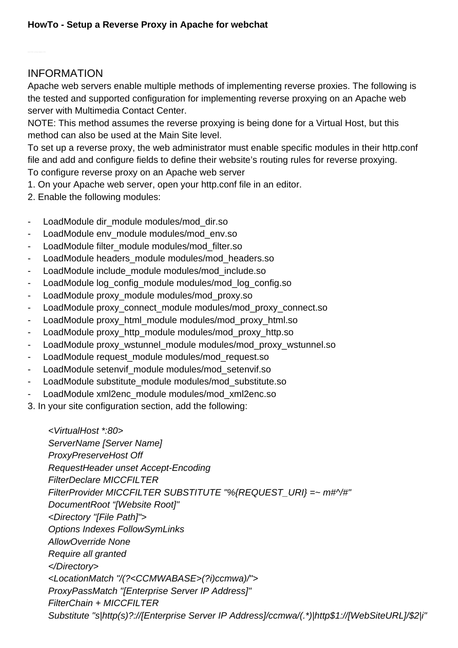## INFORMATION

Apache web servers enable multiple methods of implementing reverse proxies. The following is the tested and supported configuration for implementing reverse proxying on an Apache web server with Multimedia Contact Center.

NOTE: This method assumes the reverse proxying is being done for a Virtual Host, but this method can also be used at the Main Site level.

To set up a reverse proxy, the web administrator must enable specific modules in their http.conf file and add and configure fields to define their website's routing rules for reverse proxying. To configure reverse proxy on an Apache web server

- 1. On your Apache web server, open your http.conf file in an editor.
- 2. Enable the following modules:
- LoadModule dir\_module modules/mod\_dir.so
- LoadModule env\_module modules/mod\_env.so
- LoadModule filter\_module modules/mod\_filter.so
- LoadModule headers\_module modules/mod\_headers.so
- LoadModule include\_module modules/mod\_include.so
- LoadModule log\_config\_module modules/mod\_log\_config.so
- LoadModule proxy\_module modules/mod\_proxy.so
- LoadModule proxy\_connect\_module modules/mod\_proxy\_connect.so
- LoadModule proxy\_html\_module modules/mod\_proxy\_html.so
- LoadModule proxy\_http\_module modules/mod\_proxy\_http.so
- LoadModule proxy\_wstunnel\_module modules/mod\_proxy\_wstunnel.so
- LoadModule request\_module modules/mod\_request.so
- LoadModule setenvif\_module modules/mod\_setenvif.so
- LoadModule substitute\_module modules/mod\_substitute.so
- LoadModule xml2enc\_module modules/mod\_xml2enc.so
- 3. In your site configuration section, add the following:

 <VirtualHost \*:80> ServerName [Server Name] ProxyPreserveHost Off RequestHeader unset Accept-Encoding FilterDeclare MICCFILTER FilterProvider MICCFILTER SUBSTITUTE "%{REQUEST\_URI} =~ m#^/#" DocumentRoot "[Website Root]" <Directory "[File Path]"> Options Indexes FollowSymLinks AllowOverride None Require all granted </Directory> <LocationMatch "/(?<CCMWABASE>(?i)ccmwa)/"> ProxyPassMatch "[Enterprise Server IP Address]" FilterChain + MICCFILTER Substitute "s|http(s)?://[Enterprise Server IP Address]/ccmwa/(.\*)|http\$1://[WebSiteURL]/\$2|i"